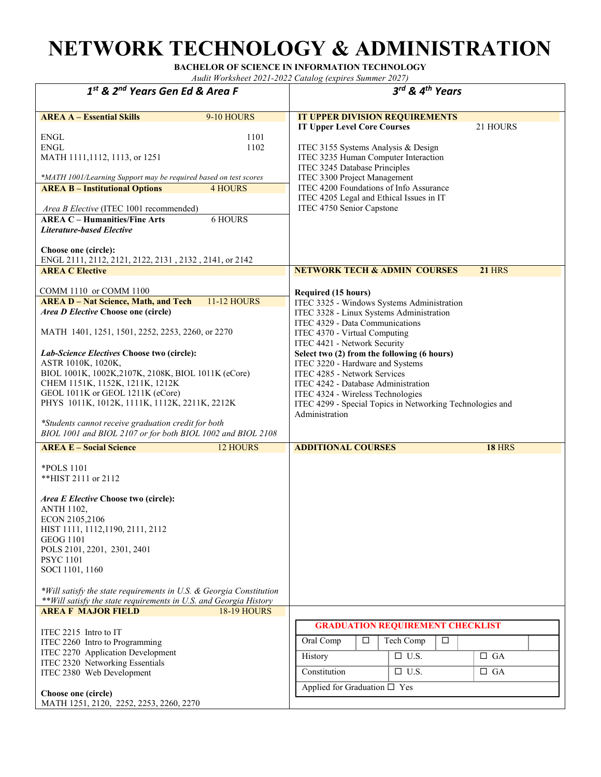## **NETWORK TECHNOLOGY & ADMINISTRATION**

**BACHELOR OF SCIENCE IN INFORMATION TECHNOLOGY** 

*Audit Worksheet 2021-2022 Catalog (expires Summer 2027)* 

| $1st$ & $2nd$ Years Gen Ed & Area F                                                                                                                                                                                                                                                                                                                                                                                                                                                                                                                             | 3rd & 4th Years                                                                                                                                                                                                                                                                                                                                                                                                                                                                                 |
|-----------------------------------------------------------------------------------------------------------------------------------------------------------------------------------------------------------------------------------------------------------------------------------------------------------------------------------------------------------------------------------------------------------------------------------------------------------------------------------------------------------------------------------------------------------------|-------------------------------------------------------------------------------------------------------------------------------------------------------------------------------------------------------------------------------------------------------------------------------------------------------------------------------------------------------------------------------------------------------------------------------------------------------------------------------------------------|
| <b>AREA A - Essential Skills</b><br>9-10 HOURS<br><b>ENGL</b><br>1101<br><b>ENGL</b><br>1102<br>MATH 1111, 1112, 1113, or 1251<br>*MATH 1001/Learning Support may be required based on test scores<br><b>AREA B - Institutional Options</b><br><b>4 HOURS</b><br>Area B Elective (ITEC 1001 recommended)<br><b>AREA C - Humanities/Fine Arts</b><br><b>6 HOURS</b><br><b>Literature-based Elective</b><br>Choose one (circle):<br>ENGL 2111, 2112, 2121, 2122, 2131, 2132, 2141, or 2142                                                                        | <b>IT UPPER DIVISION REQUIREMENTS</b><br><b>IT Upper Level Core Courses</b><br>21 HOURS<br>ITEC 3155 Systems Analysis & Design<br>ITEC 3235 Human Computer Interaction<br>ITEC 3245 Database Principles<br>ITEC 3300 Project Management<br>ITEC 4200 Foundations of Info Assurance<br>ITEC 4205 Legal and Ethical Issues in IT<br>ITEC 4750 Senior Capstone                                                                                                                                     |
| <b>AREA C Elective</b>                                                                                                                                                                                                                                                                                                                                                                                                                                                                                                                                          | <b>NETWORK TECH &amp; ADMIN COURSES</b><br><b>21 HRS</b>                                                                                                                                                                                                                                                                                                                                                                                                                                        |
| COMM 1110 or COMM 1100<br><b>AREA D - Nat Science, Math, and Tech</b><br><b>11-12 HOURS</b><br>Area D Elective Choose one (circle)<br>MATH 1401, 1251, 1501, 2252, 2253, 2260, or 2270<br>Lab-Science Electives Choose two (circle):<br>ASTR 1010K, 1020K,<br>BIOL 1001K, 1002K, 2107K, 2108K, BIOL 1011K (eCore)<br>CHEM 1151K, 1152K, 1211K, 1212K<br>GEOL 1011K or GEOL 1211K (eCore)<br>PHYS 1011K, 1012K, 1111K, 1112K, 2211K, 2212K<br>*Students cannot receive graduation credit for both<br>BIOL 1001 and BIOL 2107 or for both BIOL 1002 and BIOL 2108 | Required (15 hours)<br>ITEC 3325 - Windows Systems Administration<br>ITEC 3328 - Linux Systems Administration<br>ITEC 4329 - Data Communications<br>ITEC 4370 - Virtual Computing<br>ITEC 4421 - Network Security<br>Select two (2) from the following (6 hours)<br>ITEC 3220 - Hardware and Systems<br>ITEC 4285 - Network Services<br>ITEC 4242 - Database Administration<br>ITEC 4324 - Wireless Technologies<br>ITEC 4299 - Special Topics in Networking Technologies and<br>Administration |
| <b>AREA E - Social Science</b><br>12 HOURS                                                                                                                                                                                                                                                                                                                                                                                                                                                                                                                      | <b>ADDITIONAL COURSES</b><br><b>18 HRS</b>                                                                                                                                                                                                                                                                                                                                                                                                                                                      |
| *POLS 1101<br>**HIST 2111 or 2112<br>Area E Elective Choose two (circle):<br><b>ANTH 1102,</b><br>ECON 2105,2106<br>HIST 1111, 1112, 1190, 2111, 2112<br><b>GEOG 1101</b><br>POLS 2101, 2201, 2301, 2401<br><b>PSYC 1101</b><br>SOCI 1101, 1160<br>*Will satisfy the state requirements in U.S. & Georgia Constitution                                                                                                                                                                                                                                          |                                                                                                                                                                                                                                                                                                                                                                                                                                                                                                 |
| ** Will satisfy the state requirements in U.S. and Georgia History                                                                                                                                                                                                                                                                                                                                                                                                                                                                                              |                                                                                                                                                                                                                                                                                                                                                                                                                                                                                                 |
| <b>AREA F MAJOR FIELD</b><br><b>18-19 HOURS</b><br>ITEC 2215 Intro to IT<br>ITEC 2260 Intro to Programming<br>ITEC 2270 Application Development<br>ITEC 2320 Networking Essentials<br>ITEC 2380 Web Development<br>Choose one (circle)<br>MATH 1251, 2120, 2252, 2253, 2260, 2270                                                                                                                                                                                                                                                                               | <b>GRADUATION REQUIREMENT CHECKLIST</b><br>$\Box$<br>$\Box$<br>Oral Comp<br>Tech Comp<br>History<br>$\Box$ U.S.<br>$\Box$ GA<br>Constitution<br>$\Box$ U.S.<br>$\Box$ GA<br>Applied for Graduation $\square$ Yes                                                                                                                                                                                                                                                                                |